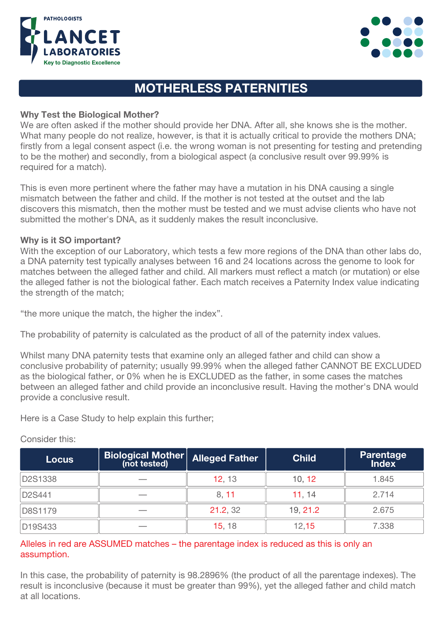



# MOTHERLESS PATERNITIES

## Why Test the Biological Mother?

We are often asked if the mother should provide her DNA. After all, she knows she is the mother. What many people do not realize, however, is that it is actually critical to provide the mothers DNA; firstly from a legal consent aspect (i.e. the wrong woman is not presenting for testing and pretending to be the mother) and secondly, from a biological aspect (a conclusive result over 99.99% is required for a match).

This is even more pertinent where the father may have a mutation in his DNA causing a single mismatch between the father and child. If the mother is not tested at the outset and the lab discovers this mismatch, then the mother must be tested and we must advise clients who have not submitted the mother's DNA, as it suddenly makes the result inconclusive.

#### Why is it SO important?

With the exception of our Laboratory, which tests a few more regions of the DNA than other labs do, a DNA paternity test typically analyses between 16 and 24 locations across the genome to look for matches between the alleged father and child. All markers must reflect a match (or mutation) or else the alleged father is not the biological father. Each match receives a Paternity Index value indicating the strength of the match;

"the more unique the match, the higher the index".

The probability of paternity is calculated as the product of all of the paternity index values.

Whilst many DNA paternity tests that examine only an alleged father and child can show a conclusive probability of paternity; usually 99.99% when the alleged father CANNOT BE EXCLUDED as the biological father, or 0% when he is EXCLUDED as the father, in some cases the matches between an alleged father and child provide an inconclusive result. Having the mother's DNA would provide a conclusive result.

Here is a Case Study to help explain this further;

| <b>Locus</b> | <b>Biological Mother</b><br>(not tested) | <b>Alleged Father</b> | <b>Child</b> | <b>Parentage</b><br>Index |
|--------------|------------------------------------------|-----------------------|--------------|---------------------------|
| D2S1338      |                                          | 12.13                 | 10.12        | 1.845                     |
| D2S441       |                                          | 8.11                  | 11.14        | 2.714                     |
| D8S1179      |                                          | 21.2.32               | 19.21.2      | 2.675                     |
| D19S433      |                                          | 15, 18                | 12.15        | 7.338                     |

### Consider this:

# Alleles in red are ASSUMED matches - the parentage index is reduced as this is only an assumption.

In this case, the probability of paternity is 98.2896% (the product of all the parentage indexes). The result is inconclusive (because it must be greater than 99%), yet the alleged father and child match at all locations.